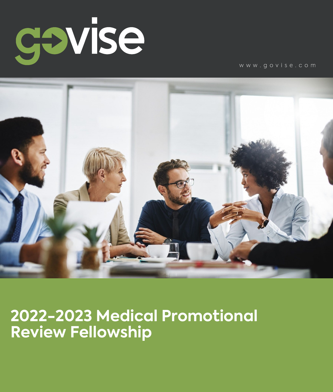

www.govise.com



**2022-2023 Medical Promotional Review Fellowship**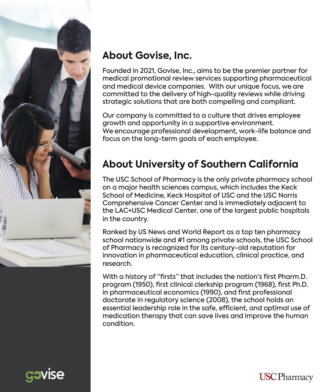

### **About Govise, Inc.**

Founded in 2021, Govise, Inc., aims to be the premier partner for medical promotional review services supporting pharmaceutical and medical device companies. With our unique focus, we are committed to the delivery of high-quality reviews while driving strategic solutions that are both compelling and compliant.

Our company is committed to a culture that drives employee growth and opportunity in a supportive environment. We encourage professional development, work-life balance and focus on the long-term goals of each employee.

# **About University of Southern California**

The USC School of Pharmacy is the only private pharmacy school on a major health sciences campus, which includes the Keck School of Medicine, Keck Hospital of USC and the USC Norris Comprehensive Cancer Center and is immediately adjacent to the LAC+USC Medical Center, one of the largest public hospitals in the country.

Ranked by US News and World Report as a top ten pharmacy school nationwide and #1 among private schools, the USC School of Pharmacy is recognized for its century-old reputation for innovation in pharmaceutical education, clinical practice, and research.

With a history of "firsts" that includes the nation's first Pharm.D. program (1950), first clinical clerkship program (1968), first Ph.D. in pharmaceutical economics (1990), and first professional doctorate in regulatory science (2008), the school holds an essential leadership role in the safe, efficient, and optimal use of medication therapy that can save lives and improve the human condition.

**USC** Pharmacy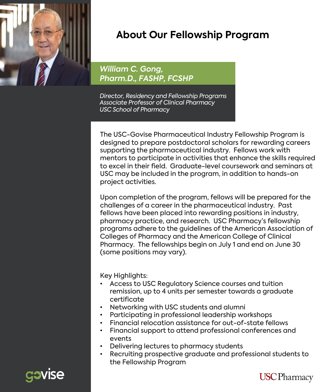

#### **About Our Fellowship Program**

*William C. Gong, Pharm.D., FASHP, FCSHP*

*Director, Residency and Fellowship Programs Associate Professor of Clinical Pharmacy USC School of Pharmacy*

The USC-Govise Pharmaceutical Industry Fellowship Program is designed to prepare postdoctoral scholars for rewarding careers supporting the pharmaceutical industry. Fellows work with mentors to participate in activities that enhance the skills required to excel in their field. Graduate-level coursework and seminars at USC may be included in the program, in addition to hands-on project activities.

Upon completion of the program, fellows will be prepared for the challenges of a career in the pharmaceutical industry. Past fellows have been placed into rewarding positions in industry, pharmacy practice, and research. USC Pharmacy's fellowship programs adhere to the guidelines of the American Association of Colleges of Pharmacy and the American College of Clinical Pharmacy. The fellowships begin on July 1 and end on June 30 (some positions may vary).

Key Highlights:

- Access to USC Regulatory Science courses and tuition remission, up to 4 units per semester towards a graduate certificate
- Networking with USC students and alumni
- Participating in professional leadership workshops
- Financial relocation assistance for out-of-state fellows
- Financial support to attend professional conferences and events
- Delivering lectures to pharmacy students
- Recruiting prospective graduate and professional students to the Fellowship Program



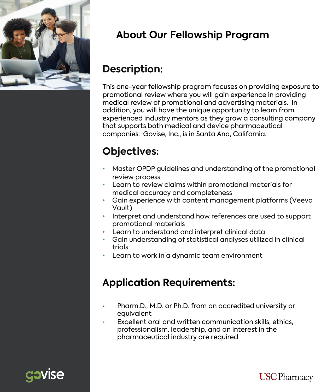

## **Medical Promotional Review About Our Fellowship Program**

### **Description:**

This one-year fellowship program focuses on providing exposure to promotional review where you will gain experience in providing medical review of promotional and advertising materials. In addition, you will have the unique opportunity to learn from experienced industry mentors as they grow a consulting company that supports both medical and device pharmaceutical companies. Govise, Inc., is in Santa Ana, California.

# **Objectives:**

- Master OPDP guidelines and understanding of the promotional review process
- Learn to review claims within promotional materials for medical accuracy and completeness
- Gain experience with content management platforms (Veeva Vault)
- Interpret and understand how references are used to support promotional materials
- Learn to understand and interpret clinical data
- Gain understanding of statistical analyses utilized in clinical trials
- Learn to work in a dynamic team environment

## **Application Requirements:**

- Pharm.D., M.D. or Ph.D. from an accredited university or equivalent
- Excellent oral and written communication skills, ethics, professionalism, leadership, and an interest in the pharmaceutical industry are required



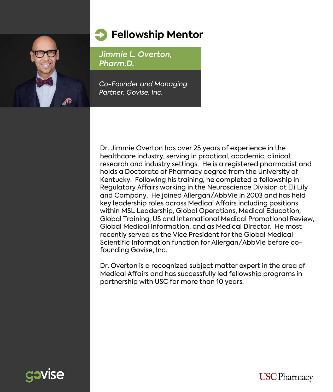

#### **Fellowship Mentor**

*Jimmie L. Overton, Pharm.D.*

*Co-Founder and Managing Partner, Govise, Inc.*

Dr. Jimmie Overton has over 25 years of experience in the healthcare industry, serving in practical, academic, clinical, research and industry settings. He is a registered pharmacist and holds a Doctorate of Pharmacy degree from the University of Kentucky. Following his training, he completed a fellowship in Regulatory Affairs working in the Neuroscience Division at Eli Lily and Company. He joined Allergan/AbbVie in 2003 and has held key leadership roles across Medical Affairs including positions within MSL Leadership, Global Operations, Medical Education, Global Training, US and International Medical Promotional Review, Global Medical Information, and as Medical Director. He most recently served as the Vice President for the Global Medical Scientific Information function for Allergan/AbbVie before cofounding Govise, Inc.

Dr. Overton is a recognized subject matter expert in the area of Medical Affairs and has successfully led fellowship programs in partnership with USC for more than 10 years.



**USC** Pharmacy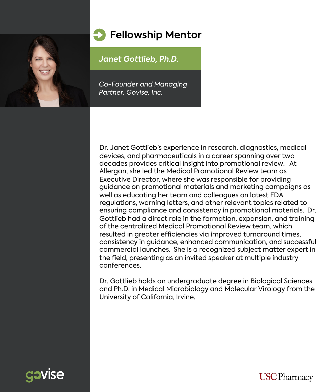

#### **Fellowship Mentor**

*Janet Gottlieb, Ph.D.*

*Co-Founder and Managing Partner, Govise, Inc.*

Dr. Janet Gottlieb's experience in research, diagnostics, medical devices, and pharmaceuticals in a career spanning over two decades provides critical insight into promotional review. At Allergan, she led the Medical Promotional Review team as Executive Director, where she was responsible for providing guidance on promotional materials and marketing campaigns as well as educating her team and colleagues on latest FDA regulations, warning letters, and other relevant topics related to ensuring compliance and consistency in promotional materials. Dr. Gottlieb had a direct role in the formation, expansion, and training of the centralized Medical Promotional Review team, which resulted in greater efficiencies via improved turnaround times, consistency in guidance, enhanced communication, and successful commercial launches. She is a recognized subject matter expert in the field, presenting as an invited speaker at multiple industry conferences.

Dr. Gottlieb holds an undergraduate degree in Biological Sciences and Ph.D. in Medical Microbiology and Molecular Virology from the University of California, Irvine.



**USC** Pharmacy